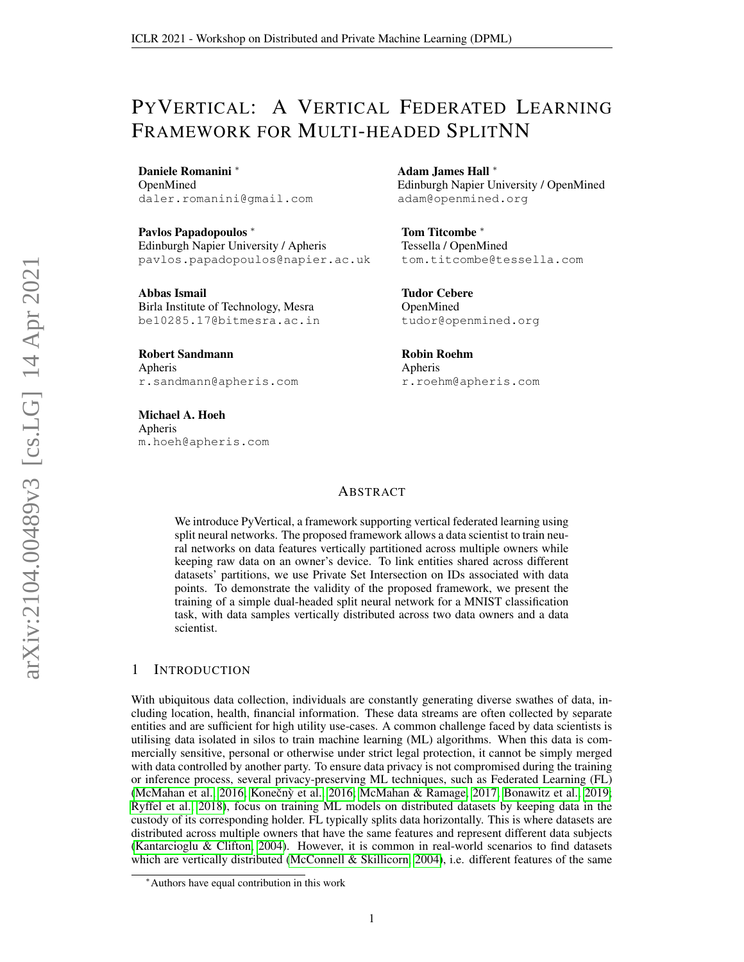# PYVERTICAL: A VERTICAL FEDERATED LEARNING FRAMEWORK FOR MULTI-HEADED SPLITNN

Daniele Romanini <sup>∗</sup> OpenMined daler.romanini@gmail.com

Pavlos Papadopoulos <sup>∗</sup> Edinburgh Napier University / Apheris pavlos.papadopoulos@napier.ac.uk

Abbas Ismail Birla Institute of Technology, Mesra be10285.17@bitmesra.ac.in

Robert Sandmann Apheris r.sandmann@apheris.com

Michael A. Hoeh Apheris m.hoeh@apheris.com

Adam James Hall <sup>∗</sup> Edinburgh Napier University / OpenMined adam@openmined.org

Tom Titcombe <sup>∗</sup> Tessella / OpenMined tom.titcombe@tessella.com

Tudor Cebere OpenMined tudor@openmined.org

Robin Roehm Apheris r.roehm@apheris.com

#### **ABSTRACT**

We introduce PyVertical, a framework supporting vertical federated learning using split neural networks. The proposed framework allows a data scientist to train neural networks on data features vertically partitioned across multiple owners while keeping raw data on an owner's device. To link entities shared across different datasets' partitions, we use Private Set Intersection on IDs associated with data points. To demonstrate the validity of the proposed framework, we present the training of a simple dual-headed split neural network for a MNIST classification task, with data samples vertically distributed across two data owners and a data scientist.

#### 1 INTRODUCTION

With ubiquitous data collection, individuals are constantly generating diverse swathes of data, including location, health, financial information. These data streams are often collected by separate entities and are sufficient for high utility use-cases. A common challenge faced by data scientists is utilising data isolated in silos to train machine learning (ML) algorithms. When this data is commercially sensitive, personal or otherwise under strict legal protection, it cannot be simply merged with data controlled by another party. To ensure data privacy is not compromised during the training or inference process, several privacy-preserving ML techniques, such as Federated Learning (FL) [\(McMahan et al., 2016;](#page-6-0) Konečnỳ et al., [2016;](#page-5-0) [McMahan & Ramage, 2017;](#page-6-1) [Bonawitz et al., 2019;](#page-4-0) [Ryffel et al., 2018\)](#page-6-2), focus on training ML models on distributed datasets by keeping data in the custody of its corresponding holder. FL typically splits data horizontally. This is where datasets are distributed across multiple owners that have the same features and represent different data subjects [\(Kantarcioglu & Clifton, 2004\)](#page-5-1). However, it is common in real-world scenarios to find datasets which are vertically distributed [\(McConnell & Skillicorn, 2004\)](#page-6-3), i.e. different features of the same

<sup>∗</sup>Authors have equal contribution in this work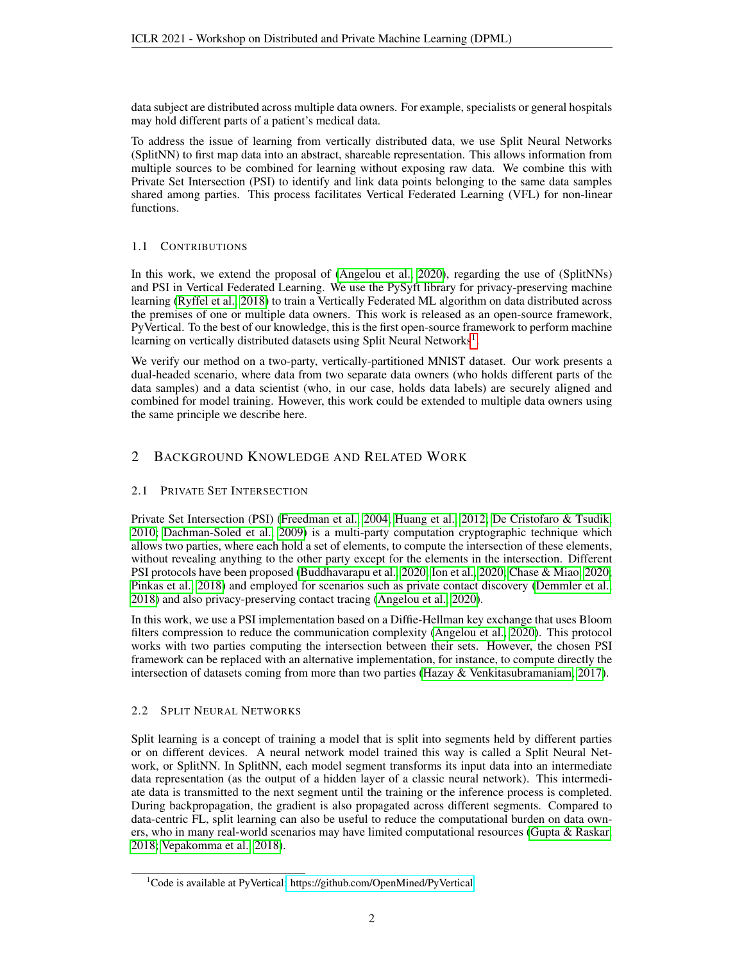data subject are distributed across multiple data owners. For example, specialists or general hospitals may hold different parts of a patient's medical data.

To address the issue of learning from vertically distributed data, we use Split Neural Networks (SplitNN) to first map data into an abstract, shareable representation. This allows information from multiple sources to be combined for learning without exposing raw data. We combine this with Private Set Intersection (PSI) to identify and link data points belonging to the same data samples shared among parties. This process facilitates Vertical Federated Learning (VFL) for non-linear functions.

## 1.1 CONTRIBUTIONS

In this work, we extend the proposal of [\(Angelou et al., 2020\)](#page-4-1), regarding the use of (SplitNNs) and PSI in Vertical Federated Learning. We use the PySyft library for privacy-preserving machine learning [\(Ryffel et al., 2018\)](#page-6-2) to train a Vertically Federated ML algorithm on data distributed across the premises of one or multiple data owners. This work is released as an open-source framework, PyVertical. To the best of our knowledge, this is the first open-source framework to perform machine learning on vertically distributed datasets using Split Neural Networks<sup>[1](#page-1-0)</sup>.

We verify our method on a two-party, vertically-partitioned MNIST dataset. Our work presents a dual-headed scenario, where data from two separate data owners (who holds different parts of the data samples) and a data scientist (who, in our case, holds data labels) are securely aligned and combined for model training. However, this work could be extended to multiple data owners using the same principle we describe here.

## 2 BACKGROUND KNOWLEDGE AND RELATED WORK

## 2.1 PRIVATE SET INTERSECTION

Private Set Intersection (PSI) [\(Freedman et al., 2004;](#page-5-2) [Huang et al., 2012;](#page-5-3) [De Cristofaro & Tsudik,](#page-4-2) [2010;](#page-4-2) [Dachman-Soled et al., 2009\)](#page-4-3) is a multi-party computation cryptographic technique which allows two parties, where each hold a set of elements, to compute the intersection of these elements, without revealing anything to the other party except for the elements in the intersection. Different PSI protocols have been proposed [\(Buddhavarapu et al., 2020;](#page-4-4) [Ion et al., 2020;](#page-5-4) [Chase & Miao, 2020;](#page-4-5) [Pinkas et al., 2018\)](#page-6-4) and employed for scenarios such as private contact discovery [\(Demmler et al.,](#page-4-6) [2018\)](#page-4-6) and also privacy-preserving contact tracing [\(Angelou et al., 2020\)](#page-4-1).

In this work, we use a PSI implementation based on a Diffie-Hellman key exchange that uses Bloom filters compression to reduce the communication complexity [\(Angelou et al., 2020\)](#page-4-1). This protocol works with two parties computing the intersection between their sets. However, the chosen PSI framework can be replaced with an alternative implementation, for instance, to compute directly the intersection of datasets coming from more than two parties [\(Hazay & Venkitasubramaniam, 2017\)](#page-5-5).

## 2.2 SPLIT NEURAL NETWORKS

Split learning is a concept of training a model that is split into segments held by different parties or on different devices. A neural network model trained this way is called a Split Neural Network, or SplitNN. In SplitNN, each model segment transforms its input data into an intermediate data representation (as the output of a hidden layer of a classic neural network). This intermediate data is transmitted to the next segment until the training or the inference process is completed. During backpropagation, the gradient is also propagated across different segments. Compared to data-centric FL, split learning can also be useful to reduce the computational burden on data owners, who in many real-world scenarios may have limited computational resources [\(Gupta & Raskar,](#page-5-6) [2018;](#page-5-6) [Vepakomma et al., 2018\)](#page-6-5).

<span id="page-1-0"></span><sup>1</sup>Code is available at PyVertical[: https://github.com/OpenMined/PyVertical](https://github.com/OpenMined/PyVertical)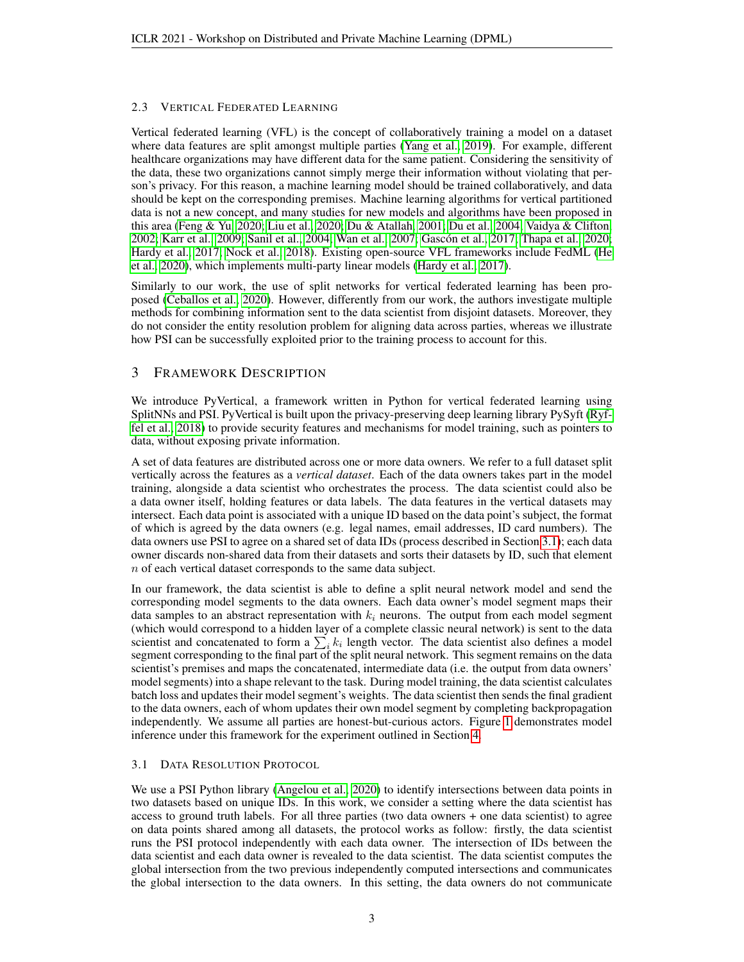#### 2.3 VERTICAL FEDERATED LEARNING

Vertical federated learning (VFL) is the concept of collaboratively training a model on a dataset where data features are split amongst multiple parties [\(Yang et al., 2019\)](#page-6-6). For example, different healthcare organizations may have different data for the same patient. Considering the sensitivity of the data, these two organizations cannot simply merge their information without violating that person's privacy. For this reason, a machine learning model should be trained collaboratively, and data should be kept on the corresponding premises. Machine learning algorithms for vertical partitioned data is not a new concept, and many studies for new models and algorithms have been proposed in this area [\(Feng & Yu, 2020;](#page-5-7) [Liu et al., 2020;](#page-5-8) [Du & Atallah, 2001;](#page-5-9) [Du et al., 2004;](#page-5-10) [Vaidya & Clifton,](#page-6-7) [2002;](#page-6-7) [Karr et al., 2009;](#page-5-11) [Sanil et al., 2004;](#page-6-8) [Wan et al., 2007;](#page-6-9) [Gascon et al., 2017;](#page-5-12) [Thapa et al., 2020;](#page-6-10) ´ [Hardy et al., 2017;](#page-5-13) [Nock et al., 2018\)](#page-6-11). Existing open-source VFL frameworks include FedML [\(He](#page-5-14) [et al., 2020\)](#page-5-14), which implements multi-party linear models [\(Hardy et al., 2017\)](#page-5-13).

Similarly to our work, the use of split networks for vertical federated learning has been proposed [\(Ceballos et al., 2020\)](#page-4-7). However, differently from our work, the authors investigate multiple methods for combining information sent to the data scientist from disjoint datasets. Moreover, they do not consider the entity resolution problem for aligning data across parties, whereas we illustrate how PSI can be successfully exploited prior to the training process to account for this.

## 3 FRAMEWORK DESCRIPTION

We introduce PyVertical, a framework written in Python for vertical federated learning using SplitNNs and PSI. PyVertical is built upon the privacy-preserving deep learning library PySyft [\(Ryf](#page-6-2)[fel et al., 2018\)](#page-6-2) to provide security features and mechanisms for model training, such as pointers to data, without exposing private information.

A set of data features are distributed across one or more data owners. We refer to a full dataset split vertically across the features as a *vertical dataset*. Each of the data owners takes part in the model training, alongside a data scientist who orchestrates the process. The data scientist could also be a data owner itself, holding features or data labels. The data features in the vertical datasets may intersect. Each data point is associated with a unique ID based on the data point's subject, the format of which is agreed by the data owners (e.g. legal names, email addresses, ID card numbers). The data owners use PSI to agree on a shared set of data IDs (process described in Section [3.1\)](#page-2-0); each data owner discards non-shared data from their datasets and sorts their datasets by ID, such that element n of each vertical dataset corresponds to the same data subject.

In our framework, the data scientist is able to define a split neural network model and send the corresponding model segments to the data owners. Each data owner's model segment maps their data samples to an abstract representation with  $k_i$  neurons. The output from each model segment (which would correspond to a hidden layer of a complete classic neural network) is sent to the data scientist and concatenated to form a  $\sum_i k_i$  length vector. The data scientist also defines a model segment corresponding to the final part of the split neural network. This segment remains on the data scientist's premises and maps the concatenated, intermediate data (i.e. the output from data owners' model segments) into a shape relevant to the task. During model training, the data scientist calculates batch loss and updates their model segment's weights. The data scientist then sends the final gradient to the data owners, each of whom updates their own model segment by completing backpropagation independently. We assume all parties are honest-but-curious actors. Figure [1](#page-3-0) demonstrates model inference under this framework for the experiment outlined in Section [4.](#page-3-1)

## <span id="page-2-0"></span>3.1 DATA RESOLUTION PROTOCOL

We use a PSI Python library [\(Angelou et al., 2020\)](#page-4-8) to identify intersections between data points in two datasets based on unique IDs. In this work, we consider a setting where the data scientist has access to ground truth labels. For all three parties (two data owners + one data scientist) to agree on data points shared among all datasets, the protocol works as follow: firstly, the data scientist runs the PSI protocol independently with each data owner. The intersection of IDs between the data scientist and each data owner is revealed to the data scientist. The data scientist computes the global intersection from the two previous independently computed intersections and communicates the global intersection to the data owners. In this setting, the data owners do not communicate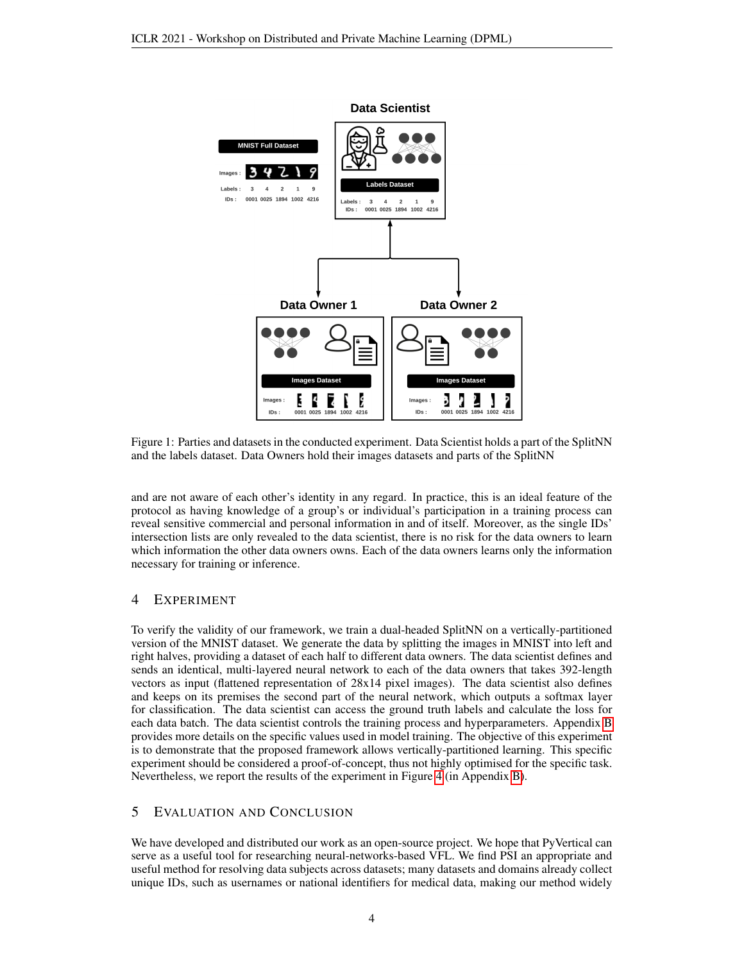<span id="page-3-0"></span>

Figure 1: Parties and datasets in the conducted experiment. Data Scientist holds a part of the SplitNN and the labels dataset. Data Owners hold their images datasets and parts of the SplitNN

and are not aware of each other's identity in any regard. In practice, this is an ideal feature of the protocol as having knowledge of a group's or individual's participation in a training process can reveal sensitive commercial and personal information in and of itself. Moreover, as the single IDs' intersection lists are only revealed to the data scientist, there is no risk for the data owners to learn which information the other data owners owns. Each of the data owners learns only the information necessary for training or inference.

## <span id="page-3-1"></span>4 EXPERIMENT

To verify the validity of our framework, we train a dual-headed SplitNN on a vertically-partitioned version of the MNIST dataset. We generate the data by splitting the images in MNIST into left and right halves, providing a dataset of each half to different data owners. The data scientist defines and sends an identical, multi-layered neural network to each of the data owners that takes 392-length vectors as input (flattened representation of 28x14 pixel images). The data scientist also defines and keeps on its premises the second part of the neural network, which outputs a softmax layer for classification. The data scientist can access the ground truth labels and calculate the loss for each data batch. The data scientist controls the training process and hyperparameters. Appendix [B](#page-8-0) provides more details on the specific values used in model training. The objective of this experiment is to demonstrate that the proposed framework allows vertically-partitioned learning. This specific experiment should be considered a proof-of-concept, thus not highly optimised for the specific task. Nevertheless, we report the results of the experiment in Figure [4](#page-8-1) (in Appendix [B\)](#page-8-0).

## 5 EVALUATION AND CONCLUSION

We have developed and distributed our work as an open-source project. We hope that PyVertical can serve as a useful tool for researching neural-networks-based VFL. We find PSI an appropriate and useful method for resolving data subjects across datasets; many datasets and domains already collect unique IDs, such as usernames or national identifiers for medical data, making our method widely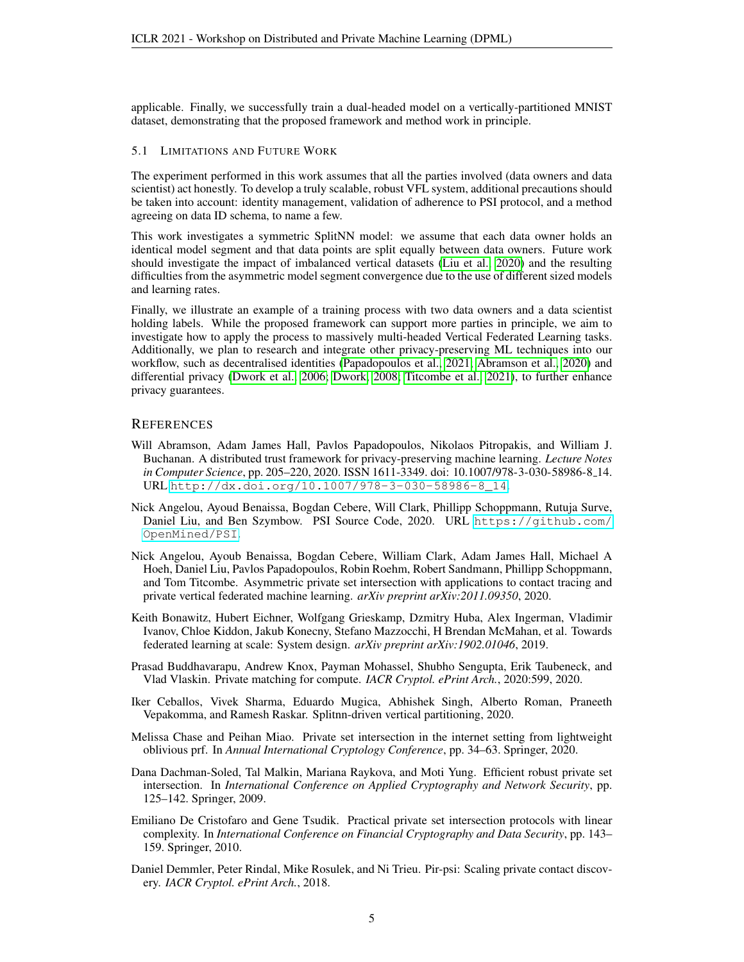applicable. Finally, we successfully train a dual-headed model on a vertically-partitioned MNIST dataset, demonstrating that the proposed framework and method work in principle.

#### 5.1 LIMITATIONS AND FUTURE WORK

The experiment performed in this work assumes that all the parties involved (data owners and data scientist) act honestly. To develop a truly scalable, robust VFL system, additional precautions should be taken into account: identity management, validation of adherence to PSI protocol, and a method agreeing on data ID schema, to name a few.

This work investigates a symmetric SplitNN model: we assume that each data owner holds an identical model segment and that data points are split equally between data owners. Future work should investigate the impact of imbalanced vertical datasets [\(Liu et al., 2020\)](#page-5-8) and the resulting difficulties from the asymmetric model segment convergence due to the use of different sized models and learning rates.

Finally, we illustrate an example of a training process with two data owners and a data scientist holding labels. While the proposed framework can support more parties in principle, we aim to investigate how to apply the process to massively multi-headed Vertical Federated Learning tasks. Additionally, we plan to research and integrate other privacy-preserving ML techniques into our workflow, such as decentralised identities [\(Papadopoulos et al., 2021;](#page-6-12) [Abramson et al., 2020\)](#page-4-9) and differential privacy [\(Dwork et al., 2006;](#page-5-15) [Dwork, 2008;](#page-5-16) [Titcombe et al., 2021\)](#page-6-13), to further enhance privacy guarantees.

#### **REFERENCES**

- <span id="page-4-9"></span>Will Abramson, Adam James Hall, Pavlos Papadopoulos, Nikolaos Pitropakis, and William J. Buchanan. A distributed trust framework for privacy-preserving machine learning. *Lecture Notes in Computer Science*, pp. 205–220, 2020. ISSN 1611-3349. doi: 10.1007/978-3-030-58986-8 14. URL [http://dx.doi.org/10.1007/978-3-030-58986-8\\_14](http://dx.doi.org/10.1007/978-3-030-58986-8_14).
- <span id="page-4-8"></span>Nick Angelou, Ayoud Benaissa, Bogdan Cebere, Will Clark, Phillipp Schoppmann, Rutuja Surve, Daniel Liu, and Ben Szymbow. PSI Source Code, 2020. URL [https://github.com/](https://github.com/OpenMined/PSI) [OpenMined/PSI](https://github.com/OpenMined/PSI).
- <span id="page-4-1"></span>Nick Angelou, Ayoub Benaissa, Bogdan Cebere, William Clark, Adam James Hall, Michael A Hoeh, Daniel Liu, Pavlos Papadopoulos, Robin Roehm, Robert Sandmann, Phillipp Schoppmann, and Tom Titcombe. Asymmetric private set intersection with applications to contact tracing and private vertical federated machine learning. *arXiv preprint arXiv:2011.09350*, 2020.
- <span id="page-4-0"></span>Keith Bonawitz, Hubert Eichner, Wolfgang Grieskamp, Dzmitry Huba, Alex Ingerman, Vladimir Ivanov, Chloe Kiddon, Jakub Konecny, Stefano Mazzocchi, H Brendan McMahan, et al. Towards federated learning at scale: System design. *arXiv preprint arXiv:1902.01046*, 2019.
- <span id="page-4-4"></span>Prasad Buddhavarapu, Andrew Knox, Payman Mohassel, Shubho Sengupta, Erik Taubeneck, and Vlad Vlaskin. Private matching for compute. *IACR Cryptol. ePrint Arch.*, 2020:599, 2020.
- <span id="page-4-7"></span>Iker Ceballos, Vivek Sharma, Eduardo Mugica, Abhishek Singh, Alberto Roman, Praneeth Vepakomma, and Ramesh Raskar. Splitnn-driven vertical partitioning, 2020.
- <span id="page-4-5"></span>Melissa Chase and Peihan Miao. Private set intersection in the internet setting from lightweight oblivious prf. In *Annual International Cryptology Conference*, pp. 34–63. Springer, 2020.
- <span id="page-4-3"></span>Dana Dachman-Soled, Tal Malkin, Mariana Raykova, and Moti Yung. Efficient robust private set intersection. In *International Conference on Applied Cryptography and Network Security*, pp. 125–142. Springer, 2009.
- <span id="page-4-2"></span>Emiliano De Cristofaro and Gene Tsudik. Practical private set intersection protocols with linear complexity. In *International Conference on Financial Cryptography and Data Security*, pp. 143– 159. Springer, 2010.
- <span id="page-4-6"></span>Daniel Demmler, Peter Rindal, Mike Rosulek, and Ni Trieu. Pir-psi: Scaling private contact discovery. *IACR Cryptol. ePrint Arch.*, 2018.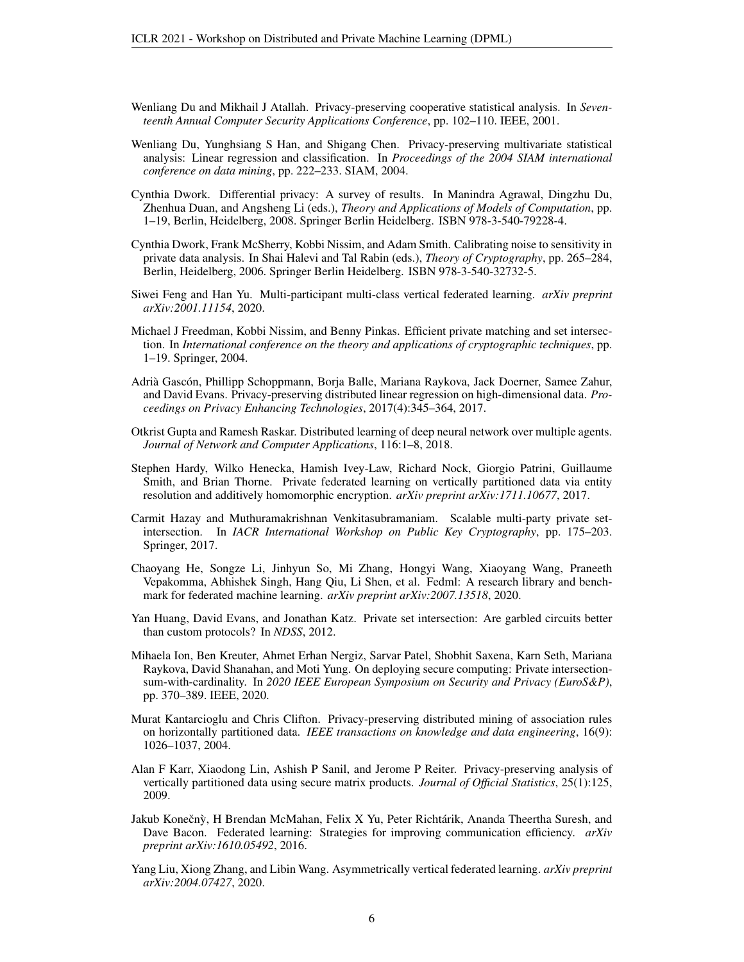- <span id="page-5-9"></span>Wenliang Du and Mikhail J Atallah. Privacy-preserving cooperative statistical analysis. In *Seventeenth Annual Computer Security Applications Conference*, pp. 102–110. IEEE, 2001.
- <span id="page-5-10"></span>Wenliang Du, Yunghsiang S Han, and Shigang Chen. Privacy-preserving multivariate statistical analysis: Linear regression and classification. In *Proceedings of the 2004 SIAM international conference on data mining*, pp. 222–233. SIAM, 2004.
- <span id="page-5-16"></span>Cynthia Dwork. Differential privacy: A survey of results. In Manindra Agrawal, Dingzhu Du, Zhenhua Duan, and Angsheng Li (eds.), *Theory and Applications of Models of Computation*, pp. 1–19, Berlin, Heidelberg, 2008. Springer Berlin Heidelberg. ISBN 978-3-540-79228-4.
- <span id="page-5-15"></span>Cynthia Dwork, Frank McSherry, Kobbi Nissim, and Adam Smith. Calibrating noise to sensitivity in private data analysis. In Shai Halevi and Tal Rabin (eds.), *Theory of Cryptography*, pp. 265–284, Berlin, Heidelberg, 2006. Springer Berlin Heidelberg. ISBN 978-3-540-32732-5.
- <span id="page-5-7"></span>Siwei Feng and Han Yu. Multi-participant multi-class vertical federated learning. *arXiv preprint arXiv:2001.11154*, 2020.
- <span id="page-5-2"></span>Michael J Freedman, Kobbi Nissim, and Benny Pinkas. Efficient private matching and set intersection. In *International conference on the theory and applications of cryptographic techniques*, pp. 1–19. Springer, 2004.
- <span id="page-5-12"></span>Adrià Gascón, Phillipp Schoppmann, Borja Balle, Mariana Raykova, Jack Doerner, Samee Zahur, and David Evans. Privacy-preserving distributed linear regression on high-dimensional data. *Proceedings on Privacy Enhancing Technologies*, 2017(4):345–364, 2017.
- <span id="page-5-6"></span>Otkrist Gupta and Ramesh Raskar. Distributed learning of deep neural network over multiple agents. *Journal of Network and Computer Applications*, 116:1–8, 2018.
- <span id="page-5-13"></span>Stephen Hardy, Wilko Henecka, Hamish Ivey-Law, Richard Nock, Giorgio Patrini, Guillaume Smith, and Brian Thorne. Private federated learning on vertically partitioned data via entity resolution and additively homomorphic encryption. *arXiv preprint arXiv:1711.10677*, 2017.
- <span id="page-5-5"></span>Carmit Hazay and Muthuramakrishnan Venkitasubramaniam. Scalable multi-party private setintersection. In *IACR International Workshop on Public Key Cryptography*, pp. 175–203. Springer, 2017.
- <span id="page-5-14"></span>Chaoyang He, Songze Li, Jinhyun So, Mi Zhang, Hongyi Wang, Xiaoyang Wang, Praneeth Vepakomma, Abhishek Singh, Hang Qiu, Li Shen, et al. Fedml: A research library and benchmark for federated machine learning. *arXiv preprint arXiv:2007.13518*, 2020.
- <span id="page-5-3"></span>Yan Huang, David Evans, and Jonathan Katz. Private set intersection: Are garbled circuits better than custom protocols? In *NDSS*, 2012.
- <span id="page-5-4"></span>Mihaela Ion, Ben Kreuter, Ahmet Erhan Nergiz, Sarvar Patel, Shobhit Saxena, Karn Seth, Mariana Raykova, David Shanahan, and Moti Yung. On deploying secure computing: Private intersectionsum-with-cardinality. In *2020 IEEE European Symposium on Security and Privacy (EuroS&P)*, pp. 370–389. IEEE, 2020.
- <span id="page-5-1"></span>Murat Kantarcioglu and Chris Clifton. Privacy-preserving distributed mining of association rules on horizontally partitioned data. *IEEE transactions on knowledge and data engineering*, 16(9): 1026–1037, 2004.
- <span id="page-5-11"></span>Alan F Karr, Xiaodong Lin, Ashish P Sanil, and Jerome P Reiter. Privacy-preserving analysis of vertically partitioned data using secure matrix products. *Journal of Official Statistics*, 25(1):125, 2009.
- <span id="page-5-0"></span>Jakub Konečnỳ, H Brendan McMahan, Felix X Yu, Peter Richtárik, Ananda Theertha Suresh, and Dave Bacon. Federated learning: Strategies for improving communication efficiency. *arXiv preprint arXiv:1610.05492*, 2016.
- <span id="page-5-8"></span>Yang Liu, Xiong Zhang, and Libin Wang. Asymmetrically vertical federated learning. *arXiv preprint arXiv:2004.07427*, 2020.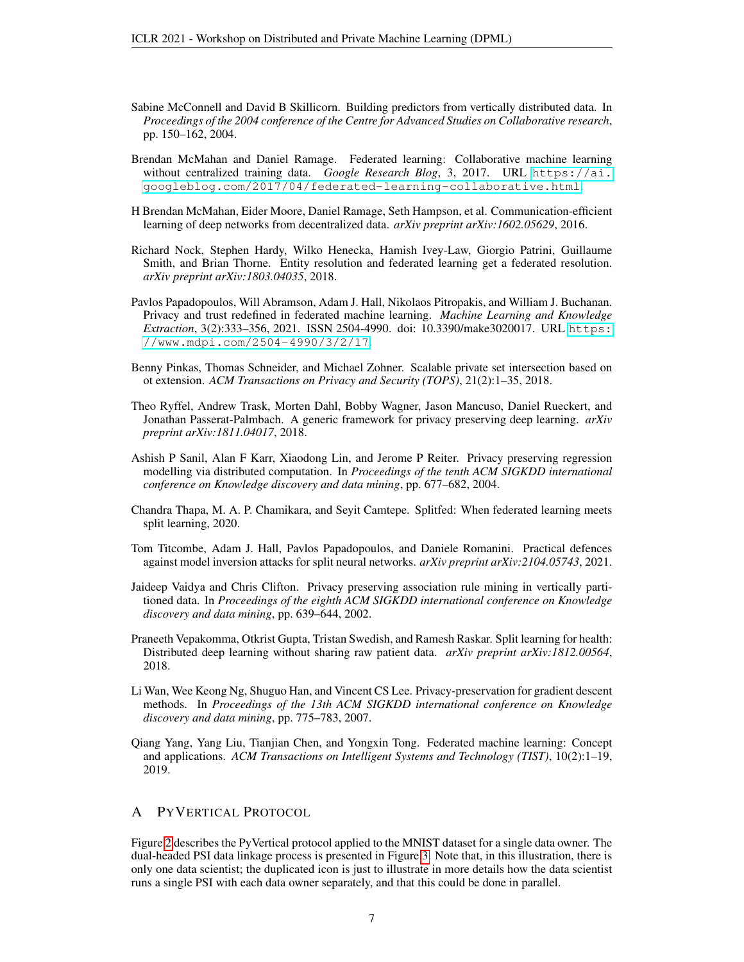- <span id="page-6-3"></span>Sabine McConnell and David B Skillicorn. Building predictors from vertically distributed data. In *Proceedings of the 2004 conference of the Centre for Advanced Studies on Collaborative research*, pp. 150–162, 2004.
- <span id="page-6-1"></span>Brendan McMahan and Daniel Ramage. Federated learning: Collaborative machine learning without centralized training data. *Google Research Blog*, 3, 2017. URL [https://ai.](https://ai.googleblog.com/2017/04/ federated-learning-collaborative.html) [googleblog.com/2017/04/federated-learning-collaborative.html](https://ai.googleblog.com/2017/04/ federated-learning-collaborative.html).
- <span id="page-6-0"></span>H Brendan McMahan, Eider Moore, Daniel Ramage, Seth Hampson, et al. Communication-efficient learning of deep networks from decentralized data. *arXiv preprint arXiv:1602.05629*, 2016.
- <span id="page-6-11"></span>Richard Nock, Stephen Hardy, Wilko Henecka, Hamish Ivey-Law, Giorgio Patrini, Guillaume Smith, and Brian Thorne. Entity resolution and federated learning get a federated resolution. *arXiv preprint arXiv:1803.04035*, 2018.
- <span id="page-6-12"></span>Pavlos Papadopoulos, Will Abramson, Adam J. Hall, Nikolaos Pitropakis, and William J. Buchanan. Privacy and trust redefined in federated machine learning. *Machine Learning and Knowledge Extraction*, 3(2):333–356, 2021. ISSN 2504-4990. doi: 10.3390/make3020017. URL [https:](https://www.mdpi.com/2504-4990/3/2/17) [//www.mdpi.com/2504-4990/3/2/17](https://www.mdpi.com/2504-4990/3/2/17).
- <span id="page-6-4"></span>Benny Pinkas, Thomas Schneider, and Michael Zohner. Scalable private set intersection based on ot extension. *ACM Transactions on Privacy and Security (TOPS)*, 21(2):1–35, 2018.
- <span id="page-6-2"></span>Theo Ryffel, Andrew Trask, Morten Dahl, Bobby Wagner, Jason Mancuso, Daniel Rueckert, and Jonathan Passerat-Palmbach. A generic framework for privacy preserving deep learning. *arXiv preprint arXiv:1811.04017*, 2018.
- <span id="page-6-8"></span>Ashish P Sanil, Alan F Karr, Xiaodong Lin, and Jerome P Reiter. Privacy preserving regression modelling via distributed computation. In *Proceedings of the tenth ACM SIGKDD international conference on Knowledge discovery and data mining*, pp. 677–682, 2004.
- <span id="page-6-10"></span>Chandra Thapa, M. A. P. Chamikara, and Seyit Camtepe. Splitfed: When federated learning meets split learning, 2020.
- <span id="page-6-13"></span>Tom Titcombe, Adam J. Hall, Pavlos Papadopoulos, and Daniele Romanini. Practical defences against model inversion attacks for split neural networks. *arXiv preprint arXiv:2104.05743*, 2021.
- <span id="page-6-7"></span>Jaideep Vaidya and Chris Clifton. Privacy preserving association rule mining in vertically partitioned data. In *Proceedings of the eighth ACM SIGKDD international conference on Knowledge discovery and data mining*, pp. 639–644, 2002.
- <span id="page-6-5"></span>Praneeth Vepakomma, Otkrist Gupta, Tristan Swedish, and Ramesh Raskar. Split learning for health: Distributed deep learning without sharing raw patient data. *arXiv preprint arXiv:1812.00564*, 2018.
- <span id="page-6-9"></span>Li Wan, Wee Keong Ng, Shuguo Han, and Vincent CS Lee. Privacy-preservation for gradient descent methods. In *Proceedings of the 13th ACM SIGKDD international conference on Knowledge discovery and data mining*, pp. 775–783, 2007.
- <span id="page-6-6"></span>Qiang Yang, Yang Liu, Tianjian Chen, and Yongxin Tong. Federated machine learning: Concept and applications. *ACM Transactions on Intelligent Systems and Technology (TIST)*, 10(2):1–19, 2019.

#### A PYVERTICAL PROTOCOL

Figure [2](#page-7-0) describes the PyVertical protocol applied to the MNIST dataset for a single data owner. The dual-headed PSI data linkage process is presented in Figure [3.](#page-7-1) Note that, in this illustration, there is only one data scientist; the duplicated icon is just to illustrate in more details how the data scientist runs a single PSI with each data owner separately, and that this could be done in parallel.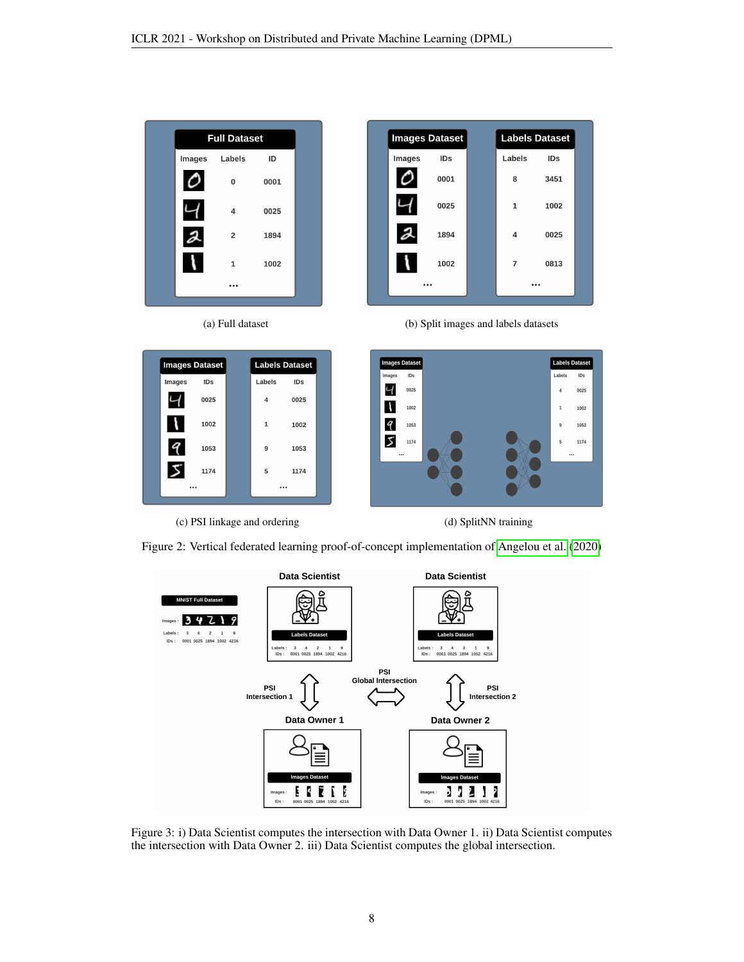<span id="page-7-0"></span>











Figure 2: Vertical federated learning proof-of-concept implementation of [Angelou et al.](#page-4-1) [\(2020\)](#page-4-1)

<span id="page-7-1"></span>

Figure 3: i) Data Scientist computes the intersection with Data Owner 1. ii) Data Scientist computes the intersection with Data Owner 2. iii) Data Scientist computes the global intersection.